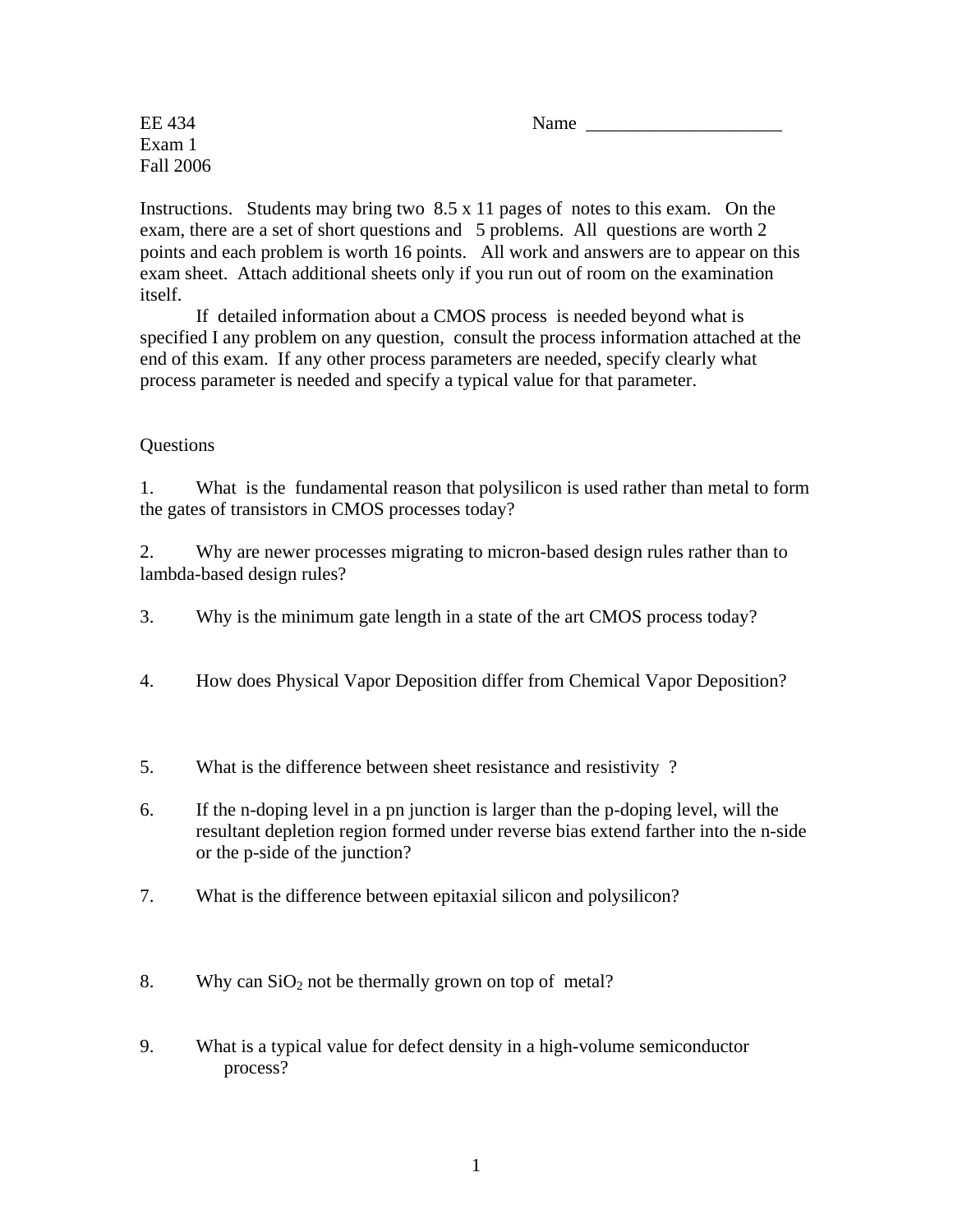$EE\,434$  Name

Exam 1 Fall 2006

Instructions. Students may bring two  $8.5 \times 11$  pages of notes to this exam. On the exam, there are a set of short questions and 5 problems. All questions are worth 2 points and each problem is worth 16 points. All work and answers are to appear on this exam sheet. Attach additional sheets only if you run out of room on the examination itself.

 If detailed information about a CMOS process is needed beyond what is specified I any problem on any question, consult the process information attached at the end of this exam. If any other process parameters are needed, specify clearly what process parameter is needed and specify a typical value for that parameter.

## Questions

1. What is the fundamental reason that polysilicon is used rather than metal to form the gates of transistors in CMOS processes today?

2. Why are newer processes migrating to micron-based design rules rather than to lambda-based design rules?

3. Why is the minimum gate length in a state of the art CMOS process today?

- 4. How does Physical Vapor Deposition differ from Chemical Vapor Deposition?
- 5. What is the difference between sheet resistance and resistivity ?
- 6. If the n-doping level in a pn junction is larger than the p-doping level, will the resultant depletion region formed under reverse bias extend farther into the n-side or the p-side of the junction?
- 7. What is the difference between epitaxial silicon and polysilicon?
- 8. Why can  $SiO<sub>2</sub>$  not be thermally grown on top of metal?
- 9. What is a typical value for defect density in a high-volume semiconductor process?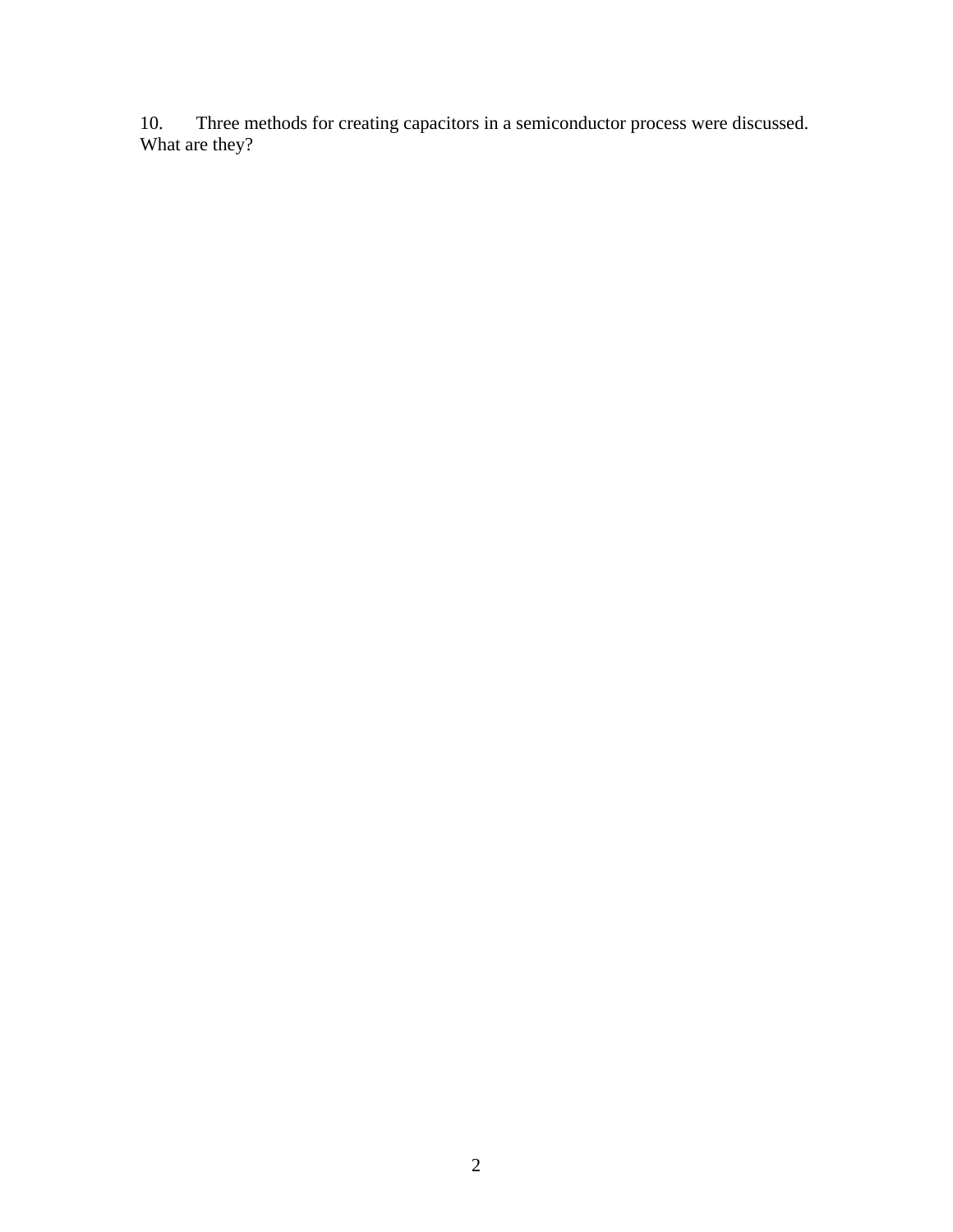10. Three methods for creating capacitors in a semiconductor process were discussed. What are they?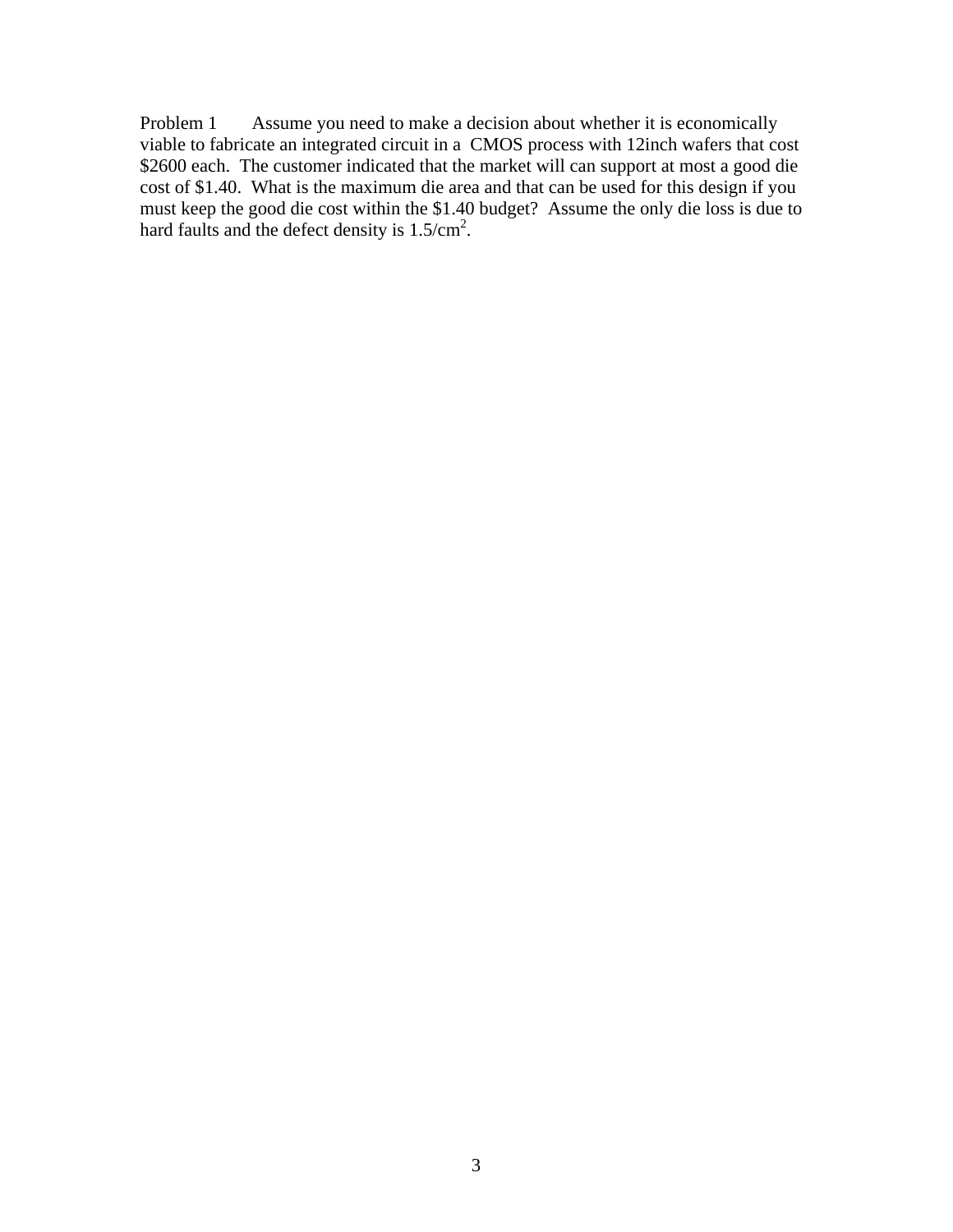Problem 1 Assume you need to make a decision about whether it is economically viable to fabricate an integrated circuit in a CMOS process with 12inch wafers that cost \$2600 each. The customer indicated that the market will can support at most a good die cost of \$1.40. What is the maximum die area and that can be used for this design if you must keep the good die cost within the \$1.40 budget? Assume the only die loss is due to hard faults and the defect density is  $1.5/cm<sup>2</sup>$ .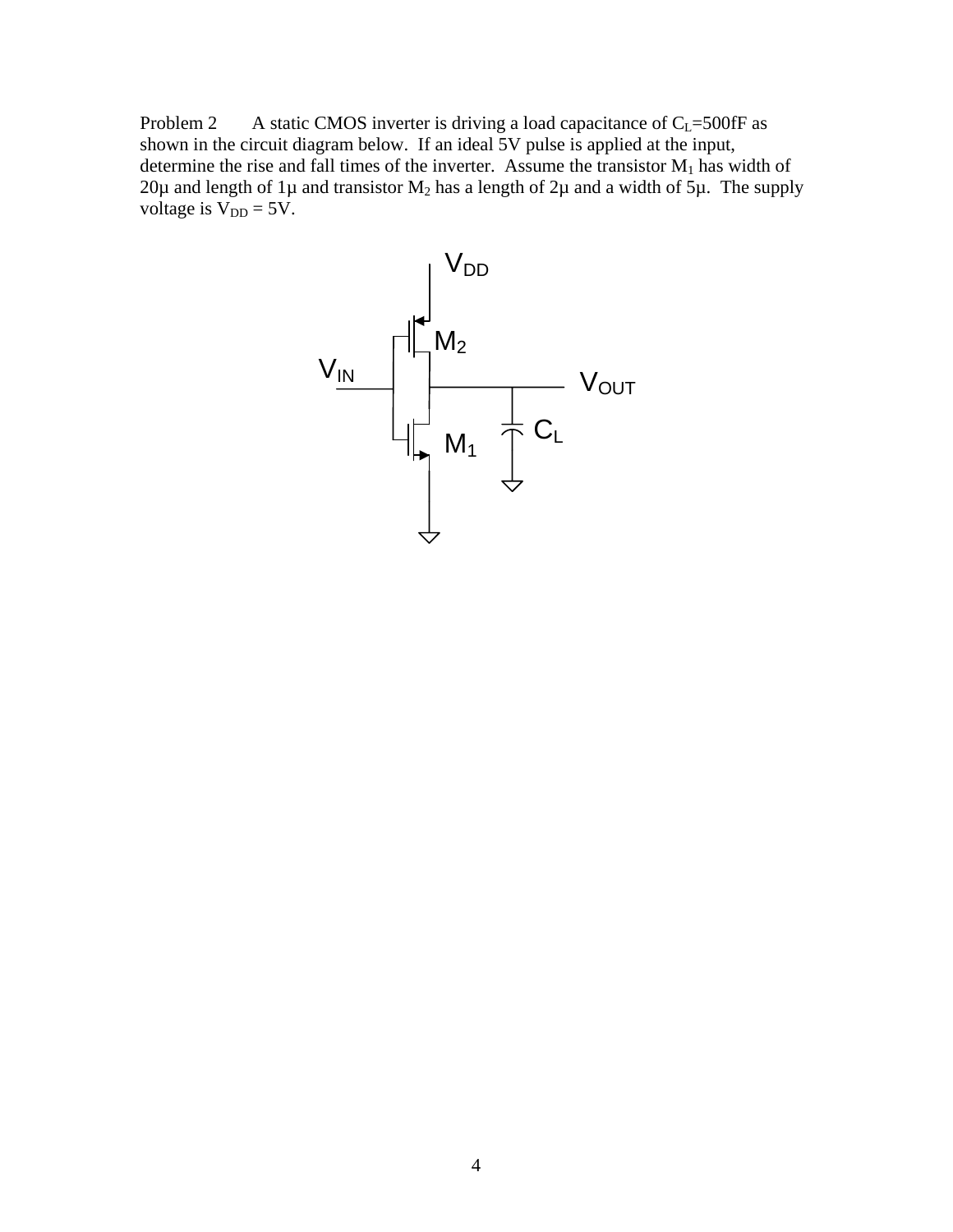Problem 2 A static CMOS inverter is driving a load capacitance of  $C_L$ =500fF as shown in the circuit diagram below. If an ideal 5V pulse is applied at the input, determine the rise and fall times of the inverter. Assume the transistor  $M_1$  has width of 20µ and length of 1µ and transistor  $M_2$  has a length of 2µ and a width of 5µ. The supply voltage is  $V_{DD} = 5V$ .

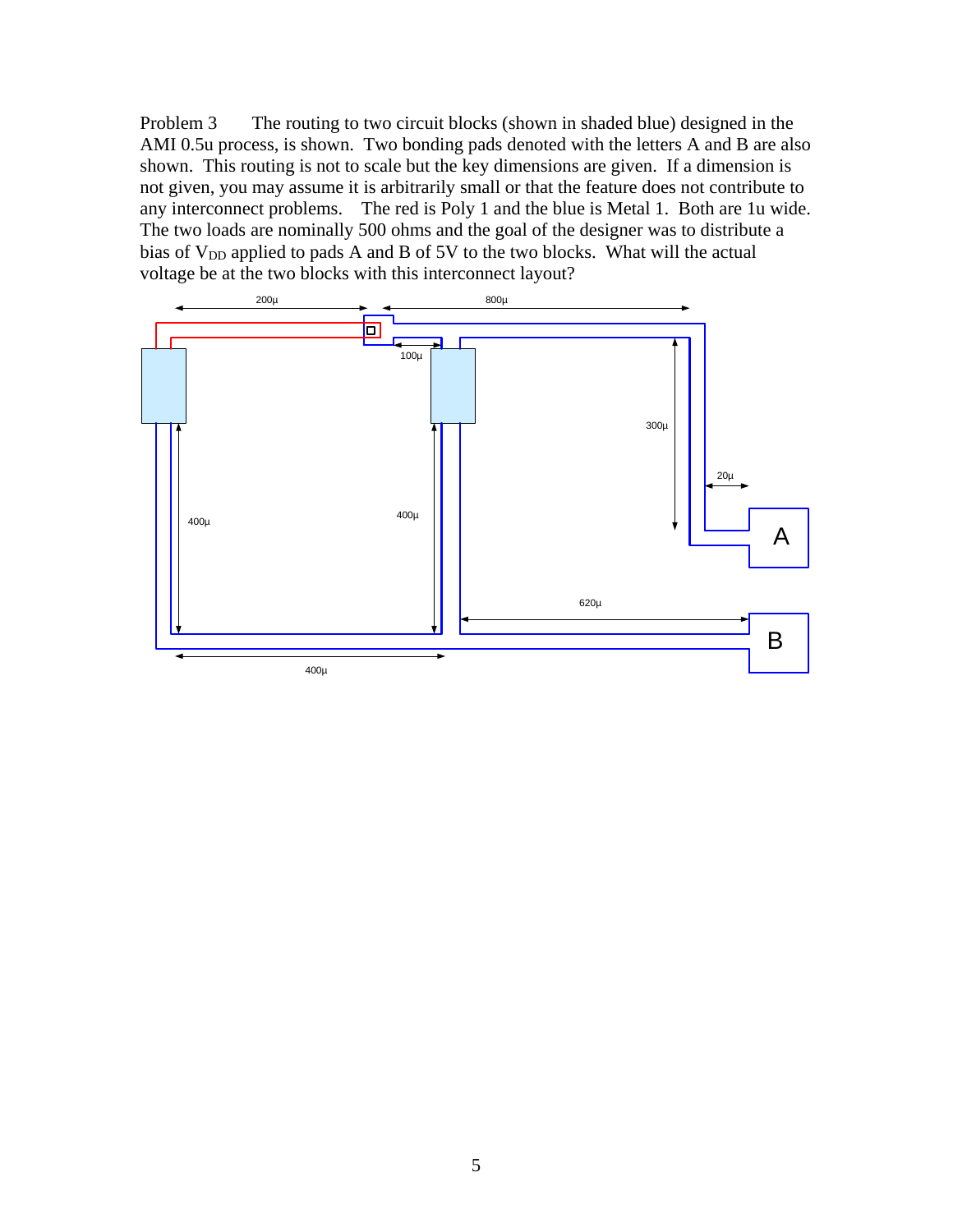Problem 3 The routing to two circuit blocks (shown in shaded blue) designed in the AMI 0.5u process, is shown. Two bonding pads denoted with the letters A and B are also shown. This routing is not to scale but the key dimensions are given. If a dimension is not given, you may assume it is arbitrarily small or that the feature does not contribute to any interconnect problems. The red is Poly 1 and the blue is Metal 1. Both are 1u wide. The two loads are nominally 500 ohms and the goal of the designer was to distribute a bias of V<sub>DD</sub> applied to pads A and B of 5V to the two blocks. What will the actual voltage be at the two blocks with this interconnect layout?

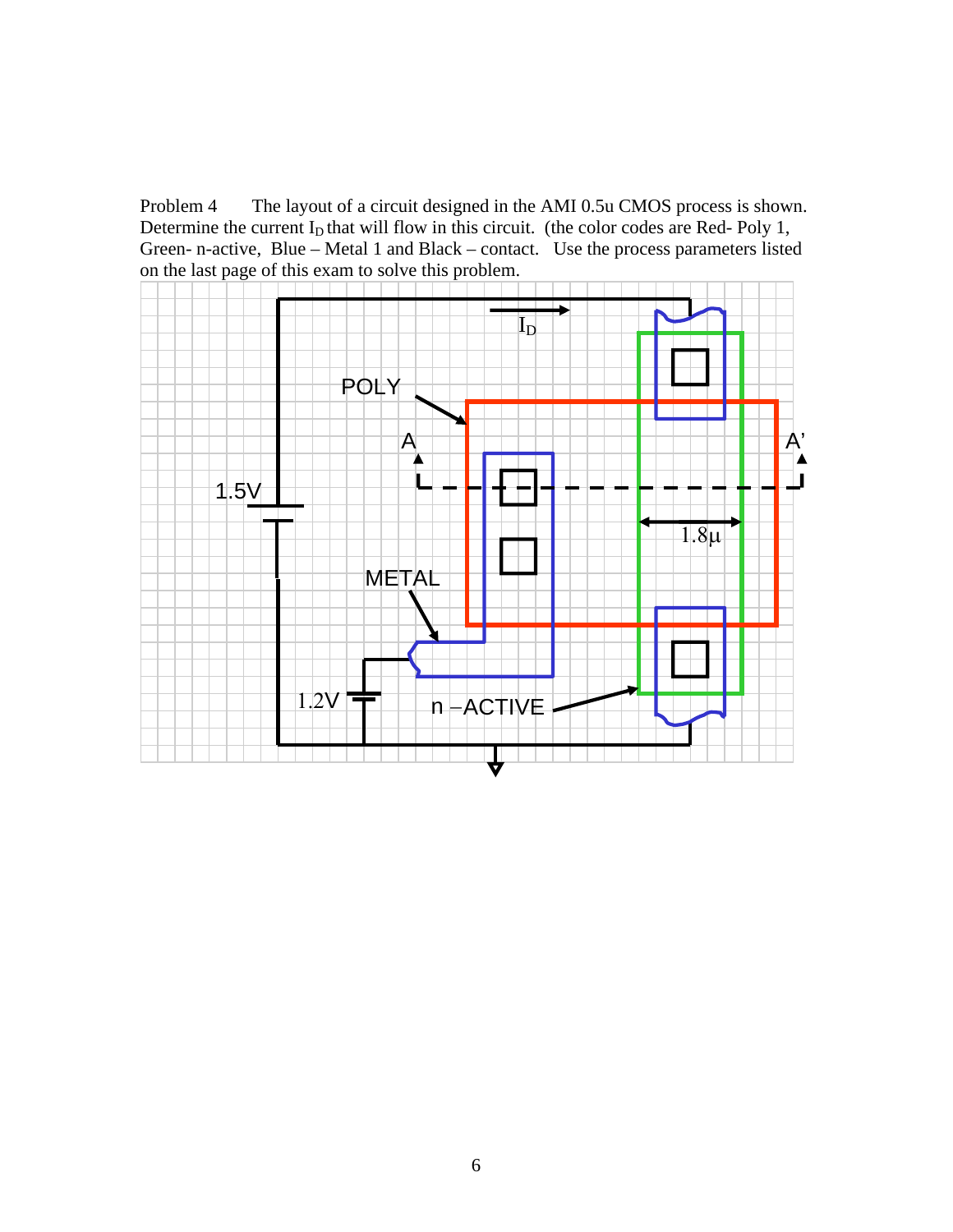Problem 4 The layout of a circuit designed in the AMI 0.5u CMOS process is shown. Determine the current  $I_D$  that will flow in this circuit. (the color codes are Red- Poly 1, Green- n-active, Blue – Metal 1 and Black – contact. Use the process parameters listed on the last page of this exam to solve this problem.

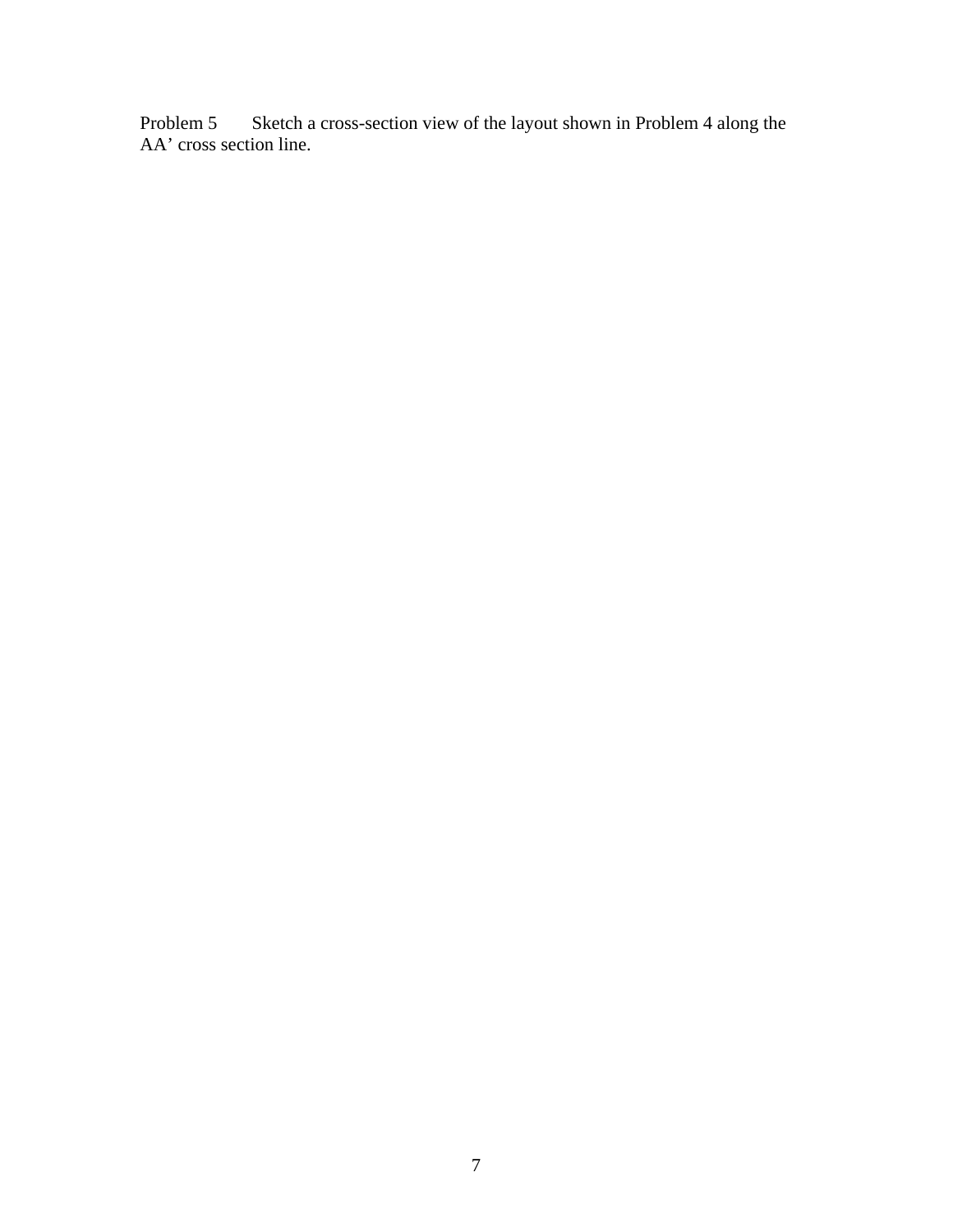Problem 5 Sketch a cross-section view of the layout shown in Problem 4 along the AA' cross section line.